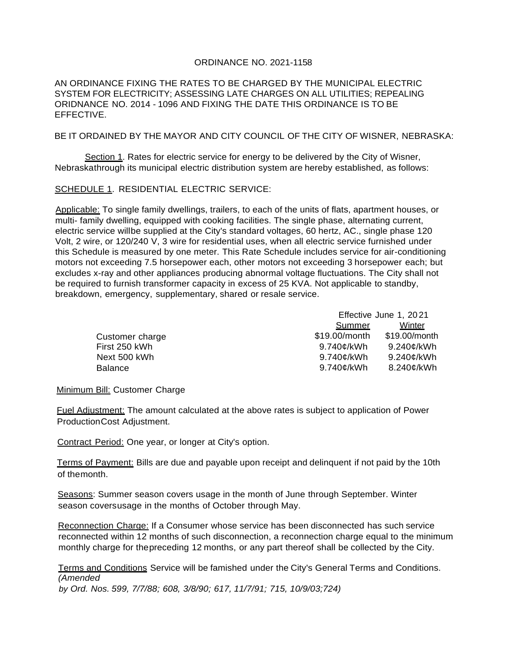## ORDINANCE NO. 2021-1158

AN ORDINANCE FIXING THE RATES TO BE CHARGED BY THE MUNICIPAL ELECTRIC SYSTEM FOR ELECTRICITY; ASSESSING LATE CHARGES ON ALL UTILITIES; REPEALING ORIDNANCE NO. 2014 - 1096 AND FIXING THE DATE THIS ORDINANCE IS TO BE EFFECTIVE.

## BE IT ORDAINED BY THE MAYOR AND CITY COUNCIL OF THE CITY OF WISNER, NEBRASKA:

Section 1. Rates for electric service for energy to be delivered by the City of Wisner, Nebraskathrough its municipal electric distribution system are hereby established, as follows:

SCHEDULE 1. RESIDENTIAL ELECTRIC SERVICE:

Applicable: To single family dwellings, trailers, to each of the units of flats, apartment houses, or multi- family dwelling, equipped with cooking facilities. The single phase, alternating current, electric service willbe supplied at the City's standard voltages, 60 hertz, AC., single phase 120 Volt, 2 wire, or 120/240 V, 3 wire for residential uses, when all electric service furnished under this Schedule is measured by one meter. This Rate Schedule includes service for air-conditioning motors not exceeding 7.5 horsepower each, other motors not exceeding 3 horsepower each; but excludes x-ray and other appliances producing abnormal voltage fluctuations. The City shall not be required to furnish transformer capacity in excess of 25 KVA. Not applicable to standby, breakdown, emergency, supplementary, shared or resale service.

|                 | Effective June 1, 2021 |               |
|-----------------|------------------------|---------------|
|                 | <b>Summer</b>          | Winter        |
| Customer charge | \$19.00/month          | \$19.00/month |
| First 250 kWh   | 9.740¢/kWh             | 9.240¢/kWh    |
| Next 500 kWh    | 9.740¢/kWh             | 9.240¢/kWh    |
| <b>Balance</b>  | 9.740¢/kWh             | 8.240¢/kWh    |

Minimum Bill: Customer Charge

Fuel Adjustment: The amount calculated at the above rates is subject to application of Power ProductionCost Adjustment.

Contract Period: One year, or longer at City's option.

Terms of Payment: Bills are due and payable upon receipt and delinquent if not paid by the 10th of themonth.

Seasons: Summer season covers usage in the month of June through September. Winter season coversusage in the months of October through May.

Reconnection Charge: If a Consumer whose service has been disconnected has such service reconnected within 12 months of such disconnection, a reconnection charge equal to the minimum monthly charge for thepreceding 12 months, or any part thereof shall be collected by the City.

Terms and Conditions Service will be famished under the City's General Terms and Conditions. *(Amended by Ord. Nos. 599, 7/7/88; 608, 3/8/90; 617, 11/7/91; 715, 10/9/03;724)*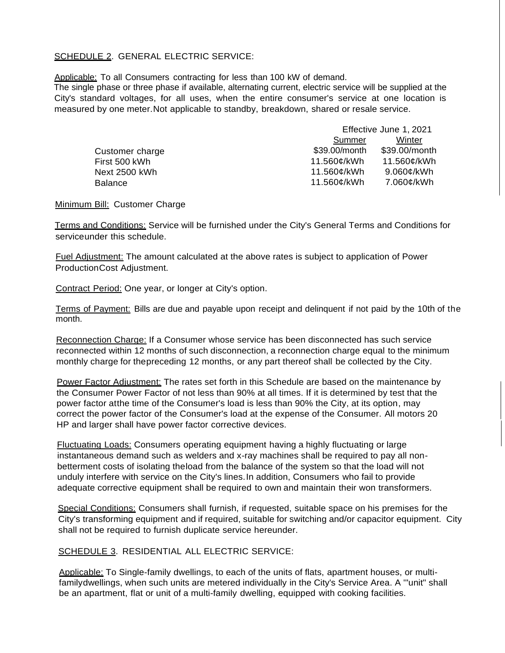## SCHEDULE 2. GENERAL ELECTRIC SERVICE:

Applicable: To all Consumers contracting for less than 100 kW of demand.

The single phase or three phase if available, alternating current, electric service will be supplied at the City's standard voltages, for all uses, when the entire consumer's service at one location is measured by one meter.Not applicable to standby, breakdown, shared or resale service.

|                 | Effective June 1, 2021 |               |
|-----------------|------------------------|---------------|
|                 | Summer                 | Winter        |
| Customer charge | \$39.00/month          | \$39.00/month |
| First 500 kWh   | 11.560¢/kWh            | 11.560¢/kWh   |
| Next 2500 kWh   | 11.560¢/kWh            | 9.060¢/kWh    |
| Balance         | 11.560¢/kWh            | 7.060¢/kWh    |

Minimum Bill: Customer Charge

Terms and Conditions: Service will be furnished under the City's General Terms and Conditions for serviceunder this schedule.

Fuel Adjustment: The amount calculated at the above rates is subject to application of Power ProductionCost Adjustment.

Contract Period: One year, or longer at City's option.

Terms of Payment: Bills are due and payable upon receipt and delinquent if not paid by the 10th of the month.

Reconnection Charge: If a Consumer whose service has been disconnected has such service reconnected within 12 months of such disconnection, a reconnection charge equal to the minimum monthly charge for thepreceding 12 months, or any part thereof shall be collected by the City.

Power Factor Adjustment: The rates set forth in this Schedule are based on the maintenance by the Consumer Power Factor of not less than 90% at all times. If it is determined by test that the power factor atthe time of the Consumer's load is less than 90% the City, at its option, may correct the power factor of the Consumer's load at the expense of the Consumer. All motors 20 HP and larger shall have power factor corrective devices.

Fluctuating Loads: Consumers operating equipment having a highly fluctuating or large instantaneous demand such as welders and x-ray machines shall be required to pay all nonbetterment costs of isolating theload from the balance of the system so that the load will not unduly interfere with service on the City's lines.In addition, Consumers who fail to provide adequate corrective equipment shall be required to own and maintain their won transformers.

Special Conditions: Consumers shall furnish, if requested, suitable space on his premises for the City's transforming equipment and if required, suitable for switching and/or capacitor equipment. City shall not be required to furnish duplicate service hereunder.

SCHEDULE 3. RESIDENTIAL ALL ELECTRIC SERVICE:

Applicable: To Single-family dwellings, to each of the units of flats, apartment houses, or multifamilydwellings, when such units are metered individually in the City's Service Area. A '"unit" shall be an apartment, flat or unit of a multi-family dwelling, equipped with cooking facilities.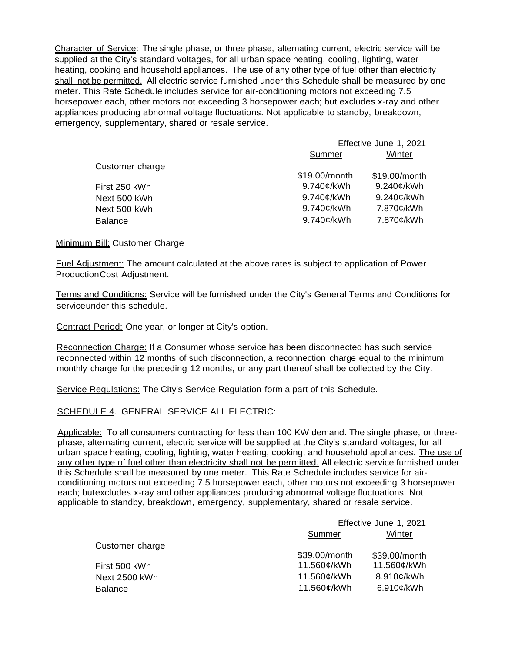Character of Service: The single phase, or three phase, alternating current, electric service will be supplied at the City's standard voltages, for all urban space heating, cooling, lighting, water heating, cooking and household appliances. The use of any other type of fuel other than electricity shall not be permitted. All electric service furnished under this Schedule shall be measured by one meter. This Rate Schedule includes service for air-conditioning motors not exceeding 7.5 horsepower each, other motors not exceeding 3 horsepower each; but excludes x-ray and other appliances producing abnormal voltage fluctuations. Not applicable to standby, breakdown, emergency, supplementary, shared or resale service.

|                 | Effective June 1, 2021 |               |
|-----------------|------------------------|---------------|
|                 | Summer                 | Winter        |
| Customer charge |                        |               |
|                 | \$19.00/month          | \$19.00/month |
| First 250 kWh   | 9.740¢/kWh             | 9.240¢/kWh    |
| Next 500 kWh    | 9.740¢/kWh             | 9.240¢/kWh    |
| Next 500 kWh    | 9.740¢/kWh             | 7.870¢/kWh    |
| Balance         | 9.740¢/kWh             | 7.870¢/kWh    |
|                 |                        |               |

Minimum Bill: Customer Charge

Fuel Adjustment: The amount calculated at the above rates is subject to application of Power ProductionCost Adjustment.

Terms and Conditions: Service will be furnished under the City's General Terms and Conditions for serviceunder this schedule.

Contract Period: One year, or longer at City's option.

Reconnection Charge: If a Consumer whose service has been disconnected has such service reconnected within 12 months of such disconnection, a reconnection charge equal to the minimum monthly charge for the preceding 12 months, or any part thereof shall be collected by the City.

Service Regulations: The City's Service Regulation form a part of this Schedule.

SCHEDULE 4. GENERAL SERVICE ALL ELECTRIC:

Applicable: To all consumers contracting for less than 100 KW demand. The single phase, or threephase, alternating current, electric service will be supplied at the City's standard voltages, for all urban space heating, cooling, lighting, water heating, cooking, and household appliances. The use of any other type of fuel other than electricity shall not be permitted. All electric service furnished under this Schedule shall be measured by one meter. This Rate Schedule includes service for airconditioning motors not exceeding 7.5 horsepower each, other motors not exceeding 3 horsepower each; butexcludes x-ray and other appliances producing abnormal voltage fluctuations. Not applicable to standby, breakdown, emergency, supplementary, shared or resale service.

|                 | Effective June 1, 2021 |               |
|-----------------|------------------------|---------------|
|                 | <b>Summer</b>          | <b>Winter</b> |
| Customer charge |                        |               |
|                 | \$39.00/month          | \$39.00/month |
| First 500 kWh   | 11.560¢/kWh            | 11.560¢/kWh   |
| Next 2500 kWh   | 11.560¢/kWh            | 8.910¢/kWh    |
| <b>Balance</b>  | 11.560¢/kWh            | 6.910¢/kWh    |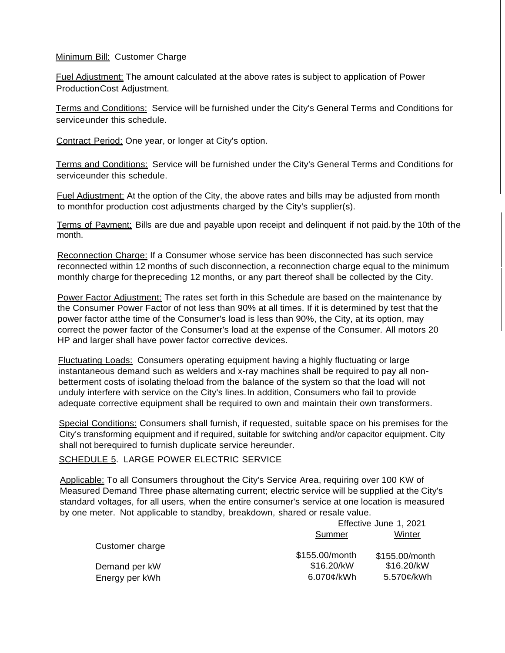## Minimum Bill: Customer Charge

Fuel Adjustment: The amount calculated at the above rates is subject to application of Power ProductionCost Adjustment.

Terms and Conditions: Service will be furnished under the City's General Terms and Conditions for serviceunder this schedule.

Contract Period: One year, or longer at City's option.

Terms and Conditions: Service will be furnished under the City's General Terms and Conditions for serviceunder this schedule.

Fuel Adjustment: At the option of the City, the above rates and bills may be adjusted from month to monthfor production cost adjustments charged by the City's supplier(s).

Terms of Payment: Bills are due and payable upon receipt and delinquent if not paid by the 10th of the month.

Reconnection Charge: If a Consumer whose service has been disconnected has such service reconnected within 12 months of such disconnection, a reconnection charge equal to the minimum monthly charge for thepreceding 12 months, or any part thereof shall be collected by the City.

Power Factor Adjustment: The rates set forth in this Schedule are based on the maintenance by the Consumer Power Factor of not less than 90% at all times. If it is determined by test that the power factor atthe time of the Consumer's load is less than 90%, the City, at its option, may correct the power factor of the Consumer's load at the expense of the Consumer. All motors 20 HP and larger shall have power factor corrective devices.

Fluctuating Loads: Consumers operating equipment having a highly fluctuating or large instantaneous demand such as welders and x-ray machines shall be required to pay all nonbetterment costs of isolating theload from the balance of the system so that the load will not unduly interfere with service on the City's lines.In addition, Consumers who fail to provide adequate corrective equipment shall be required to own and maintain their own transformers.

Special Conditions: Consumers shall furnish, if requested, suitable space on his premises for the City's transforming equipment and if required, suitable for switching and/or capacitor equipment. City shall not berequired to furnish duplicate service hereunder.

# SCHEDULE 5. LARGE POWER ELECTRIC SERVICE

Applicable: To all Consumers throughout the City's Service Area, requiring over 100 KW of Measured Demand Three phase alternating current; electric service will be supplied at the City's standard voltages, for all users, when the entire consumer's service at one location is measured by one meter. Not applicable to standby, breakdown, shared or resale value.

|                 | Effective June 1, 2021 |                |
|-----------------|------------------------|----------------|
|                 | <b>Summer</b>          | Winter         |
| Customer charge |                        |                |
|                 | \$155.00/month         | \$155.00/month |
| Demand per kW   | \$16.20/kW             | \$16.20/kW     |
| Energy per kWh  | 6.070¢/kWh             | 5.570¢/kWh     |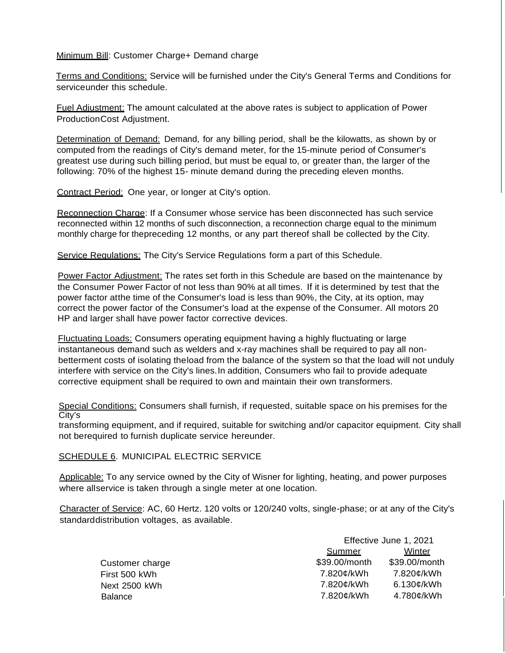Minimum Bill: Customer Charge+ Demand charge

Terms and Conditions: Service will be furnished under the City's General Terms and Conditions for serviceunder this schedule.

Fuel Adjustment: The amount calculated at the above rates is subject to application of Power ProductionCost Adjustment.

Determination of Demand: Demand, for any billing period, shall be the kilowatts, as shown by or computed from the readings of City's demand meter, for the 15-minute period of Consumer's greatest use during such billing period, but must be equal to, or greater than, the larger of the following: 70% of the highest 15- minute demand during the preceding eleven months.

Contract Period: One year, or longer at City's option.

Reconnection Charge: If a Consumer whose service has been disconnected has such service reconnected within 12 months of such disconnection, a reconnection charge equal to the minimum monthly charge for thepreceding 12 months, or any part thereof shall be collected by the City.

Service Regulations: The City's Service Regulations form a part of this Schedule.

Power Factor Adjustment: The rates set forth in this Schedule are based on the maintenance by the Consumer Power Factor of not less than 90% at all times. If it is determined by test that the power factor atthe time of the Consumer's load is less than 90%, the City, at its option, may correct the power factor of the Consumer's load at the expense of the Consumer. All motors 20 HP and larger shall have power factor corrective devices.

Fluctuating Loads: Consumers operating equipment having a highly fluctuating or large instantaneous demand such as welders and x-ray machines shall be required to pay all nonbetterment costs of isolating theload from the balance of the system so that the load will not unduly interfere with service on the City's lines.In addition, Consumers who fail to provide adequate corrective equipment shall be required to own and maintain their own transformers.

Special Conditions: Consumers shall furnish, if requested, suitable space on his premises for the City's

transforming equipment, and if required, suitable for switching and/or capacitor equipment. City shall not berequired to furnish duplicate service hereunder.

## SCHEDULE 6. MUNICIPAL ELECTRIC SERVICE

Applicable: To any service owned by the City of Wisner for lighting, heating, and power purposes where allservice is taken through a single meter at one location.

Character of Service: AC, 60 Hertz. 120 volts or 120/240 volts, single-phase; or at any of the City's standarddistribution voltages, as available.

|                 | Effective June 1, 2021 |               |
|-----------------|------------------------|---------------|
|                 | <b>Summer</b>          | Winter        |
| Customer charge | \$39.00/month          | \$39.00/month |
| First 500 kWh   | 7.820¢/kWh             | 7.820¢/kWh    |
| Next 2500 kWh   | 7.820¢/kWh             | $6.130$ c/kWh |
| <b>Balance</b>  | 7.820¢/kWh             | 4.780¢/kWh    |